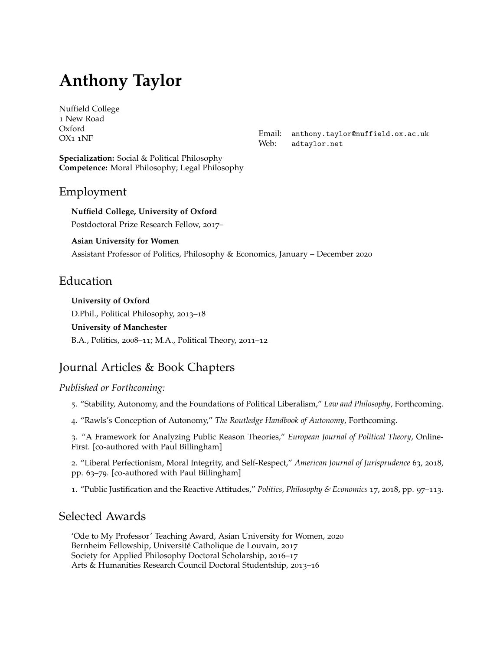# **Anthony Taylor**

[Nuffield College](http://www.nuffield.ox.ac.uk) 1 New Road Oxford OX1 1NF

**Specialization:** Social & Political Philosophy **Competence:** Moral Philosophy; Legal Philosophy Email: [anthony.taylor@nuffield.ox.ac.uk](mailto:anthony.taylor@nuffield.ox.ac.uk) Web: [adtaylor.net](http://adtaylor.net)

#### Employment

**Nuffield College, University of Oxford** Postdoctoral Prize Research Fellow, 2017–

#### **Asian University for Women**

Assistant Professor of Politics, Philosophy & Economics, January – December 2020

## Education

**University of Oxford** D.Phil., Political Philosophy, 2013–18 **University of Manchester** B.A., Politics, 2008–11; M.A., Political Theory, 2011–12

# Journal Articles & Book Chapters

#### *Published or Forthcoming:*

5. "Stability, Autonomy, and the Foundations of Political Liberalism," *Law and Philosophy*, Forthcoming.

4. "Rawls's Conception of Autonomy," *The Routledge Handbook of Autonomy*, Forthcoming.

3. "A Framework for Analyzing Public Reason Theories," *European Journal of Political Theory*, Online-First. [co-authored with Paul Billingham]

2. ["Liberal Perfectionism, Moral Integrity, and Self-Respect,](https://academic.oup.com/ajj/article-abstract/63/1/63/4994381)" *American Journal of Jurisprudence* 63, 2018, pp. 63–79. [co-authored with Paul Billingham]

1. ["Pu](http://journals.sagepub.com/doi/full/10.1177/1470594X17695070)blic Justification and the Reactive Attitudes," *Politics, Philosophy & Economics* 17, 2018, pp. 97–113.

## Selected Awards

'Ode to My Professor' Teaching Award, Asian University for Women, 2020 Bernheim Fellowship, Université Catholique de Louvain, 2017 Society for Applied Philosophy Doctoral Scholarship, 2016–17 Arts & Humanities Research Council Doctoral Studentship, 2013–16